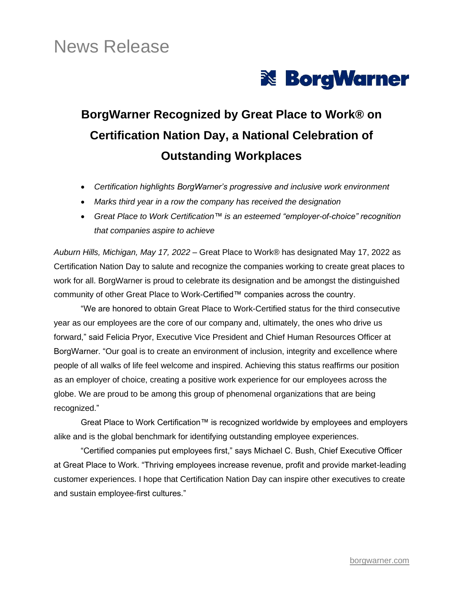# News Release



## **BorgWarner Recognized by Great Place to Work® on Certification Nation Day, a National Celebration of Outstanding Workplaces**

- *Certification highlights BorgWarner's progressive and inclusive work environment*
- *Marks third year in a row the company has received the designation*
- *Great Place to Work Certification™ is an esteemed "employer-of-choice" recognition that companies aspire to achieve*

*Auburn Hills, Michigan, May 17, 2022* – Great Place to Work® has designated May 17, 2022 as Certification Nation Day to salute and recognize the companies working to create great places to work for all. BorgWarner is proud to celebrate its designation and be amongst the distinguished community of other Great Place to Work-Certified™ companies across the country.

"We are honored to obtain Great Place to Work-Certified status for the third consecutive year as our employees are the core of our company and, ultimately, the ones who drive us forward," said Felicia Pryor, Executive Vice President and Chief Human Resources Officer at BorgWarner. "Our goal is to create an environment of inclusion, integrity and excellence where people of all walks of life feel welcome and inspired. Achieving this status reaffirms our position as an employer of choice, creating a positive work experience for our employees across the globe. We are proud to be among this group of phenomenal organizations that are being recognized."

Great Place to Work Certification™ is recognized worldwide by employees and employers alike and is the global benchmark for identifying outstanding employee experiences.

"Certified companies put employees first," says Michael C. Bush, Chief Executive Officer at Great Place to Work. "Thriving employees increase revenue, profit and provide market-leading customer experiences. I hope that Certification Nation Day can inspire other executives to create and sustain employee-first cultures."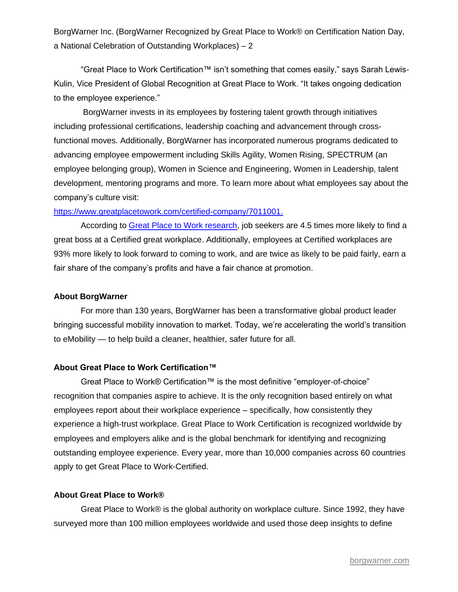BorgWarner Inc. (BorgWarner Recognized by Great Place to Work® on Certification Nation Day, a National Celebration of Outstanding Workplaces) – 2

"Great Place to Work Certification™ isn't something that comes easily," says Sarah Lewis-Kulin, Vice President of Global Recognition at Great Place to Work. "It takes ongoing dedication to the employee experience."

BorgWarner invests in its employees by fostering talent growth through initiatives including professional certifications, leadership coaching and advancement through crossfunctional moves. Additionally, BorgWarner has incorporated numerous programs dedicated to advancing employee empowerment including Skills Agility, Women Rising, SPECTRUM (an employee belonging group), Women in Science and Engineering, Women in Leadership, talent development, mentoring programs and more. To learn more about what employees say about the company's culture visit:

#### [https://www.greatplacetowork.com/certified-company/7011001.](https://www.greatplacetowork.com/certified-company/7011001)

According to [Great Place to Work research,](https://www.greatplacetowork.com/resources/blog/job-seekers-are-4-5x-more-likely-to-find-a-great-boss-at-a-certified-great-workplace) job seekers are 4.5 times more likely to find a great boss at a Certified great workplace. Additionally, employees at Certified workplaces are 93% more likely to look forward to coming to work, and are twice as likely to be paid fairly, earn a fair share of the company's profits and have a fair chance at promotion.

#### **About BorgWarner**

For more than 130 years, BorgWarner has been a transformative global product leader bringing successful mobility innovation to market. Today, we're accelerating the world's transition to eMobility — to help build a cleaner, healthier, safer future for all.

#### **About Great Place to Work Certification™**

Great Place to Work® Certification™ is the most definitive "employer-of-choice" recognition that companies aspire to achieve. It is the only recognition based entirely on what employees report about their workplace experience – specifically, how consistently they experience a high-trust workplace. Great Place to Work Certification is recognized worldwide by employees and employers alike and is the global benchmark for identifying and recognizing outstanding employee experience. Every year, more than 10,000 companies across 60 countries apply to get Great Place to Work-Certified.

#### **About Great Place to Work®**

Great Place to Work® is the global authority on workplace culture. Since 1992, they have surveyed more than 100 million employees worldwide and used those deep insights to define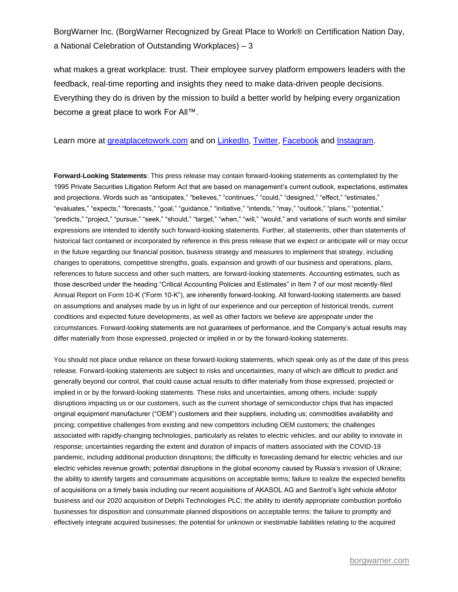BorgWarner Inc. (BorgWarner Recognized by Great Place to Work® on Certification Nation Day, a National Celebration of Outstanding Workplaces) – 3

what makes a great workplace: trust. Their employee survey platform empowers leaders with the feedback, real-time reporting and insights they need to make data-driven people decisions. Everything they do is driven by the mission to build a better world by helping every organization become a great place to work For All™.

#### Learn more at [greatplacetowork.com](http://www.greatplacetowork.com/) and on [LinkedIn,](https://www.linkedin.com/company/28924/) [Twitter,](https://twitter.com/gptw_us) [Facebook](https://www.facebook.com/GreatPlacetoWork) and [Instagram.](https://www.instagram.com/gptw_us)

**Forward-Looking Statements**: This press release may contain forward-looking statements as contemplated by the 1995 Private Securities Litigation Reform Act that are based on management's current outlook, expectations, estimates and projections. Words such as "anticipates," "believes," "continues," "could," "designed," "effect," "estimates," "evaluates," "expects," "forecasts," "goal," "guidance," "initiative," "intends," "may," "outlook," "plans," "potential," "predicts," "project," "pursue," "seek," "should," "target," "when," "will," "would," and variations of such words and similar expressions are intended to identify such forward-looking statements. Further, all statements, other than statements of historical fact contained or incorporated by reference in this press release that we expect or anticipate will or may occur in the future regarding our financial position, business strategy and measures to implement that strategy, including changes to operations, competitive strengths, goals, expansion and growth of our business and operations, plans, references to future success and other such matters, are forward-looking statements. Accounting estimates, such as those described under the heading "Critical Accounting Policies and Estimates" in Item 7 of our most recently-filed Annual Report on Form 10-K ("Form 10-K"), are inherently forward-looking. All forward-looking statements are based on assumptions and analyses made by us in light of our experience and our perception of historical trends, current conditions and expected future developments, as well as other factors we believe are appropriate under the circumstances. Forward-looking statements are not guarantees of performance, and the Company's actual results may differ materially from those expressed, projected or implied in or by the forward-looking statements.

You should not place undue reliance on these forward-looking statements, which speak only as of the date of this press release. Forward-looking statements are subject to risks and uncertainties, many of which are difficult to predict and generally beyond our control, that could cause actual results to differ materially from those expressed, projected or implied in or by the forward-looking statements. These risks and uncertainties, among others, include: supply disruptions impacting us or our customers, such as the current shortage of semiconductor chips that has impacted original equipment manufacturer ("OEM") customers and their suppliers, including us; commodities availability and pricing; competitive challenges from existing and new competitors including OEM customers; the challenges associated with rapidly-changing technologies, particularly as relates to electric vehicles, and our ability to innovate in response; uncertainties regarding the extent and duration of impacts of matters associated with the COVID-19 pandemic, including additional production disruptions; the difficulty in forecasting demand for electric vehicles and our electric vehicles revenue growth; potential disruptions in the global economy caused by Russia's invasion of Ukraine; the ability to identify targets and consummate acquisitions on acceptable terms; failure to realize the expected benefits of acquisitions on a timely basis including our recent acquisitions of AKASOL AG and Santroll's light vehicle eMotor business and our 2020 acquisition of Delphi Technologies PLC; the ability to identify appropriate combustion portfolio businesses for disposition and consummate planned dispositions on acceptable terms; the failure to promptly and effectively integrate acquired businesses; the potential for unknown or inestimable liabilities relating to the acquired